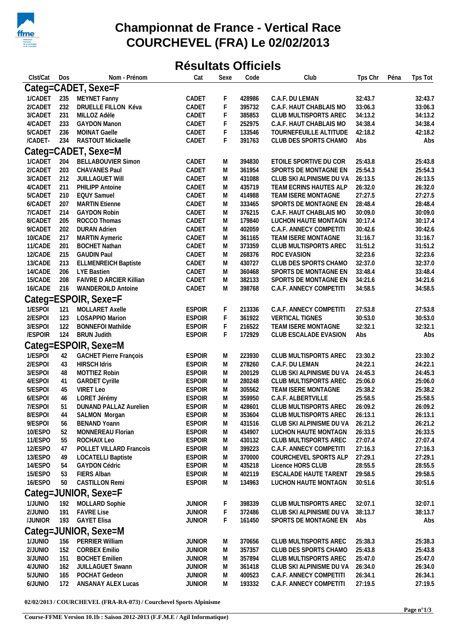

## **Championnat de France - Vertical Race COURCHEVEL (FRA) Le 02/02/2013**

## **Résultats Officiels**

| Clst/Cat | Dos                  | Nom - Prénom                  | Cat           | Sexe        | Code   | Club                     | Tps Chr<br>Péna | Tps Tot |  |  |  |
|----------|----------------------|-------------------------------|---------------|-------------|--------|--------------------------|-----------------|---------|--|--|--|
|          | Categ=CADET, Sexe=F  |                               |               |             |        |                          |                 |         |  |  |  |
| 1/CADET  |                      | 235 MEYNET Fanny              | CADET         | F           | 428986 | C.A.F. DU LEMAN          | 32:43.7         | 32:43.7 |  |  |  |
| 2/CADET  | 232                  | DRUELLE FILLON Kéva           | CADET         | $\mathsf F$ | 395732 | C.A.F. HAUT CHABLAIS MO  | 33:06.3         | 33:06.3 |  |  |  |
| 3/CADET  | 231                  | MILLOZ Adèle                  | CADET         | F           | 385853 | CLUB MULTISPORTS AREC    | 34:13.2         | 34:13.2 |  |  |  |
| 4/CADET  | 233                  | <b>GAYDON Manon</b>           | CADET         | F           | 252975 | C.A.F. HAUT CHABLAIS MO  | 34:38.4         | 34:38.4 |  |  |  |
| 5/CADET  | 236                  | MOINAT Gaelle                 | CADET         | F           | 133546 | TOURNEFEUILLE ALTITUDE   | 42:18.2         | 42:18.2 |  |  |  |
| /CADET-  | 234                  | RASTOUT Mickaelle             | CADET         | F           | 391763 | CLUB DES SPORTS CHAMO    | Abs             | Abs     |  |  |  |
|          | Categ=CADET, Sexe=M  |                               |               |             |        |                          |                 |         |  |  |  |
| 1/CADET  | 204                  | <b>BELLABOUVIER Simon</b>     | CADET         | M           | 394830 | ETOILE SPORTIVE DU COR   | 25:43.8         | 25:43.8 |  |  |  |
| 2/CADET  | 203                  | CHAVANES Paul                 | CADET         | M           | 361954 | SPORTS DE MONTAGNE EN    | 25:54.3         | 25:54.3 |  |  |  |
| 3/CADET  | 212                  | <b>JUILLAGUET WIII</b>        | CADET         | M           | 431088 | CLUB SKI ALPINISME DU VA | 26:13.5         | 26:13.5 |  |  |  |
| 4/CADET  | 211                  | PHILIPP Antoine               | CADET         | M           | 435719 | TEAM ECRINS HAUTES ALP   | 26:32.0         | 26:32.0 |  |  |  |
| 5/CADET  | 210                  | <b>EQUY Samuel</b>            | CADET         | M           | 414988 | TEAM ISERE MONTAGNE      | 27:27.5         | 27:27.5 |  |  |  |
| 6/CADET  | 207                  | <b>MARTIN Etienne</b>         | CADET         | M           | 333465 | SPORTS DE MONTAGNE EN    | 28:48.4         | 28:48.4 |  |  |  |
| 7/CADET  | 214                  | <b>GAYDON Robin</b>           | CADET         | M           | 376215 | C.A.F. HAUT CHABLAIS MO  | 30:09.0         | 30:09.0 |  |  |  |
| 8/CADET  | 205                  | ROCCO Thomas                  | CADET         | M           | 179840 | LUCHON HAUTE MONTAGN     | 30:17.4         | 30:17.4 |  |  |  |
| 9/CADET  | 202                  | <b>DURAN Adrien</b>           | CADET         | M           | 402059 | C.A.F. ANNECY COMPETITI  | 30:42.6         | 30:42.6 |  |  |  |
| 10/CADE  | 217                  | <b>MARTIN Aymeric</b>         | CADET         | M           | 361165 | TEAM ISERE MONTAGNE      | 31:16.7         | 31:16.7 |  |  |  |
| 11/CADE  | 201                  | <b>BOCHET Nathan</b>          | CADET         | M           | 373359 | CLUB MULTISPORTS AREC    | 31:51.2         | 31:51.2 |  |  |  |
| 12/CADE  | 215                  | <b>GAUDIN Paul</b>            | CADET         | M           | 268376 | ROC EVASION              | 32:23.6         | 32:23.6 |  |  |  |
| 13/CADE  | 213                  | <b>ELLMENREICH Baptiste</b>   | CADET         | M           | 430727 | CLUB DES SPORTS CHAMO    | 32:37.0         | 32:37.0 |  |  |  |
| 14/CADE  | 206                  | <b>LYE Bastien</b>            | CADET         | M           | 360468 | SPORTS DE MONTAGNE EN    | 33:48.4         | 33:48.4 |  |  |  |
| 15/CADE  | 208                  | FAIVRE D ARCIER Killian       | CADET         | M           | 382133 | SPORTS DE MONTAGNE EN    | 34:21.6         | 34:21.6 |  |  |  |
| 16/CADE  | 216                  | <b>WANDEROILD Antoine</b>     | CADET         | M           | 398768 | C.A.F. ANNECY COMPETITI  | 34:58.5         | 34:58.5 |  |  |  |
|          | Categ=ESPOIR, Sexe=F |                               |               |             |        |                          |                 |         |  |  |  |
| 1/ESPOI  | 121                  | MOLLARET Axelle               | <b>ESPOIR</b> | F           | 213336 | C.A.F. ANNECY COMPETITI  | 27:53.8         | 27:53.8 |  |  |  |
| 2/ESPOI  | 123                  | LOSAPPIO Marion               | <b>ESPOIR</b> | F           | 361922 | <b>VERTICAL TIGNES</b>   | 30:53.0         | 30:53.0 |  |  |  |
| 3/ESPOI  | 122                  | <b>BONNEFOI Mathilde</b>      | <b>ESPOIR</b> | F           | 216522 | TEAM ISERE MONTAGNE      | 32:32.1         | 32:32.1 |  |  |  |
| /ESPOIR  | 124                  | <b>BRUN Judith</b>            | <b>ESPOIR</b> | F           | 172929 | CLUB ESCALADE EVASION    | Abs             | Abs     |  |  |  |
|          |                      | Categ=ESPOIR, Sexe=M          |               |             |        |                          |                 |         |  |  |  |
| 1/ESPOI  | 42                   | <b>GACHET Pierre François</b> | <b>ESPOIR</b> | M           | 223930 | CLUB MULTISPORTS AREC    | 23:30.2         | 23:30.2 |  |  |  |
| 2/ESPOI  | 43                   | <b>HIRSCH Idris</b>           | <b>ESPOIR</b> | M           | 278260 | C.A.F. DU LEMAN          | 24:22.1         | 24:22.1 |  |  |  |
| 3/ESPOI  | 48                   | MOTTIEZ Robin                 | <b>ESPOIR</b> | M           | 200129 | CLUB SKI ALPINISME DU VA | 24:45.3         | 24:45.3 |  |  |  |
| 4/ESPOI  | 41                   | <b>GARDET Cyrille</b>         | <b>ESPOIR</b> | M           | 280248 | CLUB MULTISPORTS AREC    | 25:06.0         | 25:06.0 |  |  |  |
| 5/ESPOI  | 45                   | VIRET Leo                     | <b>ESPOIR</b> | M           | 305562 | TEAM ISERE MONTAGNE      | 25:38.2         | 25:38.2 |  |  |  |
| 6/ESPOI  | 46                   | LORET Jérémy                  | <b>ESPOIR</b> | M           | 359950 | C.A.F. ALBERTVILLE       | 25:58.5         | 25:58.5 |  |  |  |
| 7/ESPOI  | 51                   | DUNAND PALLAZ Aurelien        | <b>ESPOIR</b> | M           | 428601 | CLUB MULTISPORTS AREC    | 26:09.2         | 26:09.2 |  |  |  |
| 8/ESPOI  | 44                   | SALMON Morgan                 | <b>ESPOIR</b> | M           | 353604 | CLUB MULTISPORTS AREC    | 26:13.1         | 26:13.1 |  |  |  |
| 9/ESPOI  | 56                   | <b>BENAND Yoann</b>           | <b>ESPOIR</b> | M           | 431516 | CLUB SKI ALPINISME DU VA | 26:21.2         | 26:21.2 |  |  |  |
| 10/ESPO  | 52                   | MONNEREAU Florian             | <b>ESPOIR</b> | M           | 434907 | LUCHON HAUTE MONTAGN     | 26:33.5         | 26:33.5 |  |  |  |
| 11/ESPO  | 55                   | ROCHAIX Leo                   | <b>ESPOIR</b> | M           | 430132 | CLUB MULTISPORTS AREC    | 27:07.4         | 27:07.4 |  |  |  |
| 12/ESPO  | 47                   | POLLET VILLARD Francois       | <b>ESPOIR</b> | M           | 399223 | C.A.F. ANNECY COMPETITI  | 27:16.3         | 27:16.3 |  |  |  |
| 13/ESPO  | 49                   | <b>LOCATELLI Baptiste</b>     | <b>ESPOIR</b> | M           | 370000 | COURCHEVEL SPORTS ALP    | 27:29.1         | 27:29.1 |  |  |  |
| 14/ESPO  | 54                   | <b>GAYDON Cédric</b>          | <b>ESPOIR</b> | M           | 435218 | Licence HORS CLUB        | 28:55.5         | 28:55.5 |  |  |  |
| 15/ESPO  | 53                   | <b>FIERS Alban</b>            | <b>ESPOIR</b> | M           | 402119 | ESCALADE HAUTE TARENT    | 29:58.5         | 29:58.5 |  |  |  |
| 16/ESPO  | 50                   | <b>CASTILLON Remi</b>         | <b>ESPOIR</b> | M           | 134963 | LUCHON HAUTE MONTAGN     | 30:51.6         | 30:51.6 |  |  |  |
|          |                      | Categ=JUNIOR, Sexe=F          |               |             |        |                          |                 |         |  |  |  |
| 1/JUNIO  | 192                  | MOLLARD Sophie                | <b>JUNIOR</b> | F           | 398339 | CLUB MULTISPORTS AREC    | 32:07.1         | 32:07.1 |  |  |  |
| 2/JUNIO  | 191                  | <b>FAVRE Lise</b>             | <b>JUNIOR</b> | F           | 372486 | CLUB SKI ALPINISME DU VA | 38:13.7         | 38:13.7 |  |  |  |
| /JUNIOR  | 193                  | <b>GAYET Elisa</b>            | <b>JUNIOR</b> | F           | 161450 | SPORTS DE MONTAGNE EN    | Abs             | Abs     |  |  |  |
|          |                      | Categ=JUNIOR, Sexe=M          |               |             |        |                          |                 |         |  |  |  |
| 1/JUNIO  | 156                  | PERRIER William               | <b>JUNIOR</b> | M           | 370656 | CLUB MULTISPORTS AREC    | 25:38.3         | 25:38.3 |  |  |  |
| 2/JUNIO  | 152                  | <b>CORBEX Emilio</b>          | <b>JUNIOR</b> | M           | 357357 | CLUB DES SPORTS CHAMO    | 25:43.8         | 25:43.8 |  |  |  |
| 3/JUNIO  | 151                  | <b>BOCHET Emilien</b>         | <b>JUNIOR</b> | M           | 357894 | CLUB MULTISPORTS AREC    | 25:47.0         | 25:47.0 |  |  |  |
| 4/JUNIO  | 162                  | JUILLAGUET Swann              | <b>JUNIOR</b> | M           | 361418 | CLUB SKI ALPINISME DU VA | 26:34.0         | 26:34.0 |  |  |  |
| 5/JUNIO  | 165                  | POCHAT Gedeon                 | <b>JUNIOR</b> | M           | 400523 | C.A.F. ANNECY COMPETITI  | 26:34.1         | 26:34.1 |  |  |  |
| 6/JUNIO  | 172                  | ANSANAY ALEX Lucas            | <b>JUNIOR</b> | M           | 193332 | C.A.F. ANNECY COMPETITI  | 27:19.5         | 27:19.5 |  |  |  |
|          |                      |                               |               |             |        |                          |                 |         |  |  |  |

**02/02/2013 / COURCHEVEL (FRA-RA-073) / Courchevel Sports Alpinisme**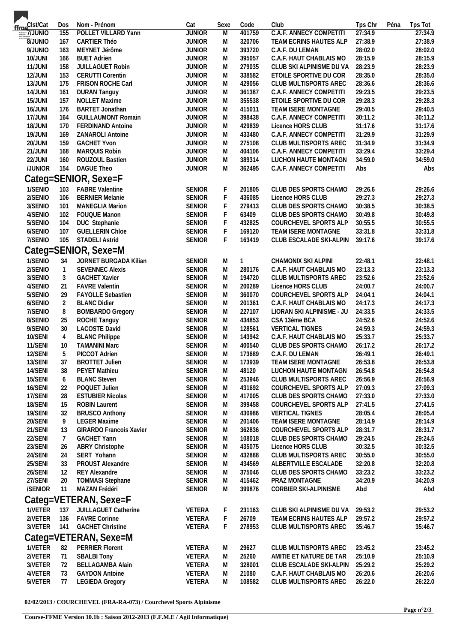| ffme <sup>Clst/Cat</sup>                                                                           | Dos            | Nom - Prénom                   | Cat           | Sexe        | Code            | Club                           | Tps Chr<br>Péna    | Tps Tot            |
|----------------------------------------------------------------------------------------------------|----------------|--------------------------------|---------------|-------------|-----------------|--------------------------------|--------------------|--------------------|
| $\frac{1}{\text{torsque}}\frac{1}{\text{torsque}}\frac{1}{\text{torsque}}\frac{1}{\text{torsque}}$ | 155            | POLLET VILLARD Yann            | <b>JUNIOR</b> | M           | 401759          | <b>C.A.F. ANNECY COMPETITI</b> | 27:34.9            | 27:34.9            |
| <b>OINUNIO</b>                                                                                     | 167            | <b>CARTIER Théo</b>            | <b>JUNIOR</b> | M           | 320706          | TEAM ECRINS HAUTES ALP         | 27:38.9            | 27:38.9            |
| 9/JUNIO                                                                                            | 163            | MEYNET Jérôme                  | <b>JUNIOR</b> | M           | 393720          | C.A.F. DU LEMAN                | 28:02.0            | 28:02.0            |
| 10/JUNI                                                                                            | 166            | <b>BUET Adrien</b>             | <b>JUNIOR</b> | M           | 395057          | C.A.F. HAUT CHABLAIS MO        | 28:15.9            | 28:15.9            |
| 11/JUNI                                                                                            | 158            | <b>JUILLAGUET Robin</b>        | <b>JUNIOR</b> | M           | 279035          | CLUB SKI ALPINISME DU VA       | 28:23.9            | 28:23.9            |
| 12/JUNI                                                                                            | 153            | <b>CERUTTI Corentin</b>        | <b>JUNIOR</b> | M           | 338582          | ETOILE SPORTIVE DU COR         | 28:35.0            | 28:35.0            |
| 13/JUNI                                                                                            | 175            | <b>FRISON ROCHE Carl</b>       | <b>JUNIOR</b> | M           | 429056          | CLUB MULTISPORTS AREC          | 28:36.6            | 28:36.6            |
| 14/JUNI                                                                                            | 161            | <b>DURAN Tanguy</b>            | <b>JUNIOR</b> | M           | 361387          | C.A.F. ANNECY COMPETITI        | 29:23.5            | 29:23.5            |
| 15/JUNI                                                                                            | 157            | <b>NOLLET Maxime</b>           | <b>JUNIOR</b> | M           | 355538          | ETOILE SPORTIVE DU COR         | 29:28.3            | 29:28.3            |
| 16/JUNI                                                                                            | 176            | <b>BARTET Jonathan</b>         | <b>JUNIOR</b> | M           | 415011          | TEAM ISERE MONTAGNE            | 29:40.5            | 29:40.5            |
| 17/JUNI                                                                                            | 164            | <b>GUILLAUMONT Romain</b>      | <b>JUNIOR</b> | M           | 398438          | C.A.F. ANNECY COMPETITI        | 30:11.2            | 30:11.2            |
| 18/JUNI                                                                                            | 170            | <b>FERDINAND Antoine</b>       | <b>JUNIOR</b> | M           | 429839          | Licence HORS CLUB              | 31:17.6            | 31:17.6            |
| 19/JUNI                                                                                            | 169            | ZANAROLI Antoine               | <b>JUNIOR</b> | M           | 433480          | C.A.F. ANNECY COMPETITI        | 31:29.9            | 31:29.9            |
| 20/JUNI                                                                                            | 159            | <b>GACHET Yvon</b>             | <b>JUNIOR</b> | M           | 275108          | CLUB MULTISPORTS AREC          | 31:34.9            | 31:34.9            |
| 21/JUNI                                                                                            | 168            | MARQUIS Robin                  | <b>JUNIOR</b> | M           | 404106          | C.A.F. ANNECY COMPETITI        | 33:29.4            | 33:29.4            |
| 22/JUNI                                                                                            | 160            | ROUZOUL Bastien                | <b>JUNIOR</b> | M           | 389314          | LUCHON HAUTE MONTAGN           | 34:59.0            | 34:59.0            |
| /JUNIOR                                                                                            | 154            | DAGUE Theo                     | <b>JUNIOR</b> | M           | 362495          | C.A.F. ANNECY COMPETITI        | Abs                | Abs                |
|                                                                                                    |                |                                |               |             |                 |                                |                    |                    |
|                                                                                                    |                | Categ=SENIOR, Sexe=F           |               |             |                 |                                |                    |                    |
| 1/SENIO                                                                                            | 103            | <b>FABRE Valentine</b>         | <b>SENIOR</b> | F           | 201805          | CLUB DES SPORTS CHAMO          | 29:26.6            | 29:26.6            |
| 2/SENIO                                                                                            | 106            | <b>BERNIER Melanie</b>         | <b>SENIOR</b> | $\mathsf F$ | 436085          | Licence HORS CLUB              | 29:27.3            | 29:27.3            |
| 3/SENIO                                                                                            | 101            | <b>MANEGLIA Marion</b>         | <b>SENIOR</b> | F           | 279413          | CLUB DES SPORTS CHAMO          | 30:38.5            | 30:38.5            |
| 4/SENIO                                                                                            | 102            | FOUQUE Manon                   | <b>SENIOR</b> | F           | 63409           | CLUB DES SPORTS CHAMO          | 30:49.8            | 30:49.8            |
| 5/SENIO                                                                                            | 104            | DUC Stephanie                  | SENIOR        | F           | 432825          | COURCHEVEL SPORTS ALP          | 30:55.5            | 30:55.5            |
| 6/SENIO                                                                                            | 107            | <b>GUELLERIN Chloe</b>         | SENIOR        | $\mathsf F$ | 169120          | TEAM ISERE MONTAGNE            | 33:31.8            | 33:31.8            |
| 7/SENIO                                                                                            | 105            | <b>STADELI Astrid</b>          | <b>SENIOR</b> | F           | 163419          | CLUB ESCALADE SKI-ALPIN        | 39:17.6            | 39:17.6            |
|                                                                                                    |                | Categ=SENIOR, Sexe=M           |               |             |                 |                                |                    |                    |
| 1/SENIO                                                                                            | 34             | JORNET BURGADA Kilian          | <b>SENIOR</b> | M           | 1               | CHAMONIX SKI ALPINI            | 22:48.1            | 22:48.1            |
| 2/SENIO                                                                                            | $\overline{1}$ | <b>SEVENNEC Alexis</b>         | <b>SENIOR</b> | M           | 280176          | C.A.F. HAUT CHABLAIS MO        | 23:13.3            | 23:13.3            |
| 3/SENIO                                                                                            | 3              | <b>GACHET Xavier</b>           | <b>SENIOR</b> | M           | 194720          | CLUB MULTISPORTS AREC          | 23:52.6            | 23:52.6            |
| 4/SENIO                                                                                            | 21             | <b>FAVRE Valentin</b>          | <b>SENIOR</b> | M           | 200289          | Licence HORS CLUB              | 24:00.7            | 24:00.7            |
| 5/SENIO                                                                                            | 29             | FAYOLLE Sebastien              | <b>SENIOR</b> | M           | 360070          | COURCHEVEL SPORTS ALP          | 24:04.1            | 24:04.1            |
| 6/SENIO                                                                                            | $\overline{2}$ | <b>BLANC Didier</b>            | <b>SENIOR</b> | M           | 201361          | C.A.F. HAUT CHABLAIS MO        | 24:17.3            | 24:17.3            |
| 7/SENIO                                                                                            | 8              | <b>BOMBARDO Gregory</b>        | <b>SENIOR</b> | M           | 227107          | LIORAN SKI ALPINISME - JU      | 24:33.5            | 24:33.5            |
| 8/SENIO                                                                                            | 25             | ROCHE Tanguy                   | <b>SENIOR</b> | M           | 434853          | CSA 13ème BCA                  | 24:52.6            | 24:52.6            |
| 9/SENIO                                                                                            | 30             | <b>LACOSTE David</b>           | <b>SENIOR</b> | M           | 128561          | <b>VERTICAL TIGNES</b>         | 24:59.3            | 24:59.3            |
| 10/SENI                                                                                            | $\overline{4}$ | <b>BLANC Philippe</b>          | <b>SENIOR</b> | M           | 143942          | C.A.F. HAUT CHABLAIS MO        | 25:33.7            | 25:33.7            |
| 11/SENI                                                                                            | 10             | <b>TAMANINI Marc</b>           | <b>SENIOR</b> | M           | 400540          | CLUB DES SPORTS CHAMO          | 26:17.2            | 26:17.2            |
| 12/SENI                                                                                            | 5              | PICCOT Adrien                  | <b>SENIOR</b> | M           | 173689          | C.A.F. DU LEMAN                | 26:49.1            | 26:49.1            |
| 13/SENI                                                                                            | 37             | <b>BROTTET Julien</b>          | SENIOR        |             | 173939          | TEAM ISERE MONTAGNE            | 26:53.8            | 26:53.8            |
| 14/SENI                                                                                            |                | PEYET Mathieu                  | <b>SENIOR</b> | M           |                 | LUCHON HAUTE MONTAGN           |                    |                    |
| 15/SENI                                                                                            | 38             | <b>BLANC Steven</b>            | <b>SENIOR</b> | M           | 48120<br>253946 |                                | 26:54.8<br>26:56.9 | 26:54.8<br>26:56.9 |
|                                                                                                    | 6              | POQUET Julien                  |               | M           |                 | CLUB MULTISPORTS AREC          |                    |                    |
| 16/SENI                                                                                            | 22             |                                | <b>SENIOR</b> | M           | 431692          | COURCHEVEL SPORTS ALP          | 27:09.3            | 27:09.3            |
| 17/SENI                                                                                            | 28             | <b>ESTUBIER Nicolas</b>        | <b>SENIOR</b> | M           | 417005          | CLUB DES SPORTS CHAMO          | 27:33.0            | 27:33.0            |
| 18/SENI                                                                                            | 15             | <b>ROBIN Laurent</b>           | SENIOR        | M           | 399458          | COURCHEVEL SPORTS ALP          | 27:41.5            | 27:41.5            |
| 19/SENI                                                                                            | 32             | <b>BRUSCO Anthony</b>          | <b>SENIOR</b> | M           | 430986          | <b>VERTICAL TIGNES</b>         | 28:05.4            | 28:05.4            |
| 20/SENI                                                                                            | 9              | <b>LEGER Maxime</b>            | <b>SENIOR</b> | M           | 201406          | <b>TEAM ISERE MONTAGNE</b>     | 28:14.9            | 28:14.9            |
| 21/SENI                                                                                            | 13             | <b>GIRARDO Francois Xavier</b> | <b>SENIOR</b> | M           | 362836          | COURCHEVEL SPORTS ALP          | 28:31.7            | 28:31.7            |
| 22/SENI                                                                                            | 7              | <b>GACHET Yann</b>             | <b>SENIOR</b> | M           | 108018          | CLUB DES SPORTS CHAMO          | 29:24.5            | 29:24.5            |
| 23/SENI                                                                                            | 26             | <b>ABRY Christophe</b>         | <b>SENIOR</b> | M           | 435075          | Licence HORS CLUB              | 30:32.5            | 30:32.5            |
| 24/SENI                                                                                            | 24             | SERT Yohann                    | <b>SENIOR</b> | M           | 432888          | CLUB MULTISPORTS AREC          | 30:55.0            | 30:55.0            |
| 25/SENI                                                                                            | 33             | PROUST Alexandre               | <b>SENIOR</b> | M           | 434569          | ALBERTVILLE ESCALADE           | 32:20.8            | 32:20.8            |
| 26/SENI                                                                                            | 12             | <b>REY Alexandre</b>           | <b>SENIOR</b> | M           | 375046          | CLUB DES SPORTS CHAMO          | 33:23.2            | 33:23.2            |
| 27/SENI                                                                                            | 20             | <b>TOMMASI Stephane</b>        | <b>SENIOR</b> | M           | 415462          | PRAZ MONTAGNE                  | 34:20.9            | 34:20.9            |
| /SENIOR                                                                                            | 11             | MAZAN Frédéri                  | <b>SENIOR</b> | M           | 399876          | CORBIER SKI-ALPINISME          | Abd                | Abd                |
|                                                                                                    |                | Categ=VETERAN, Sexe=F          |               |             |                 |                                |                    |                    |
| 1/VETER                                                                                            | 137            | JUILLAGUET Catherine           | VETERA        | F           | 231163          | CLUB SKI ALPINISME DU VA       | 29:53.2            | 29:53.2            |
| 2/VETER                                                                                            | 136            | <b>FAVRE Corinne</b>           | VETERA        | $\mathsf F$ | 26709           | TEAM ECRINS HAUTES ALP         | 29:57.2            | 29:57.2            |
| 3/VETER                                                                                            | 141            | <b>GACHET Christine</b>        | VETERA        | F           | 278953          | CLUB MULTISPORTS AREC          | 35:46.7            | 35:46.7            |
|                                                                                                    |                |                                |               |             |                 |                                |                    |                    |
|                                                                                                    |                | Categ=VETERAN, Sexe=M          |               |             |                 |                                |                    |                    |
| 1/VETER                                                                                            | 82             | <b>PERRIER Florent</b>         | VETERA        | M           | 29627           | CLUB MULTISPORTS AREC          | 23:45.2            | 23:45.2            |
| 2/VETER                                                                                            | 71             | <b>SBALBI Tony</b>             | VETERA        | M           | 25260           | AMITIE ET NATURE DE TAR        | 25:10.9            | 25:10.9            |
| 3/VETER                                                                                            | 72             | <b>BELLAGAMBA Alain</b>        | VETERA        | M           | 328001          | CLUB ESCALADE SKI-ALPIN        | 25:29.2            | 25:29.2            |
| 4/VETER                                                                                            | 73             | <b>GAYDON Antoine</b>          | VETERA        | M           | 21080           | C.A.F. HAUT CHABLAIS MO        | 26:20.6            | 26:20.6            |
| 5/VETER                                                                                            | 77             | <b>LEGIEDA Gregory</b>         | VETERA        | M           | 108582          | CLUB MULTISPORTS AREC          | 26:22.0            | 26:22.0            |
|                                                                                                    |                |                                |               |             |                 |                                |                    |                    |

**02/02/2013 / COURCHEVEL (FRA-RA-073) / Courchevel Sports Alpinisme**